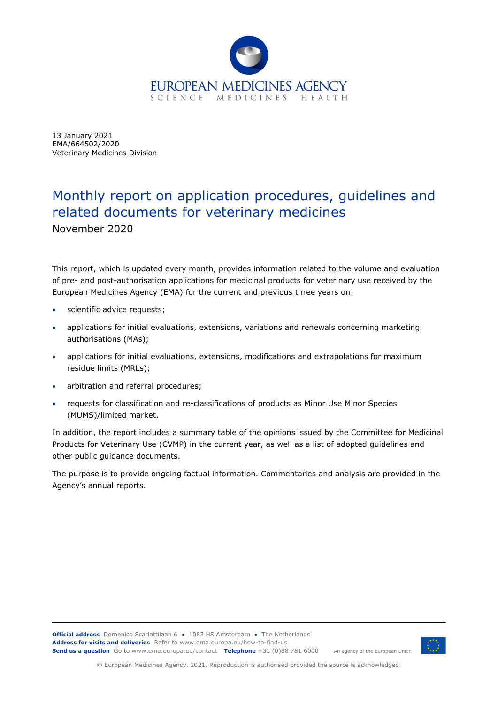

13 January 2021 EMA/664502/2020 Veterinary Medicines Division

# Monthly report on application procedures, guidelines and related documents for veterinary medicines

November 2020

This report, which is updated every month, provides information related to the volume and evaluation of pre- and post-authorisation applications for medicinal products for veterinary use received by the European Medicines Agency (EMA) for the current and previous three years on:

- scientific advice requests;
- applications for initial evaluations, extensions, variations and renewals concerning marketing authorisations (MAs);
- applications for initial evaluations, extensions, modifications and extrapolations for maximum residue limits (MRLs);
- arbitration and referral procedures;
- requests for classification and re-classifications of products as Minor Use Minor Species (MUMS)/limited market.

In addition, the report includes a summary table of the opinions issued by the Committee for Medicinal Products for Veterinary Use (CVMP) in the current year, as well as a list of adopted guidelines and other public guidance documents.

The purpose is to provide ongoing factual information. Commentaries and analysis are provided in the Agency's annual reports.



© European Medicines Agency, 2021. Reproduction is authorised provided the source is acknowledged.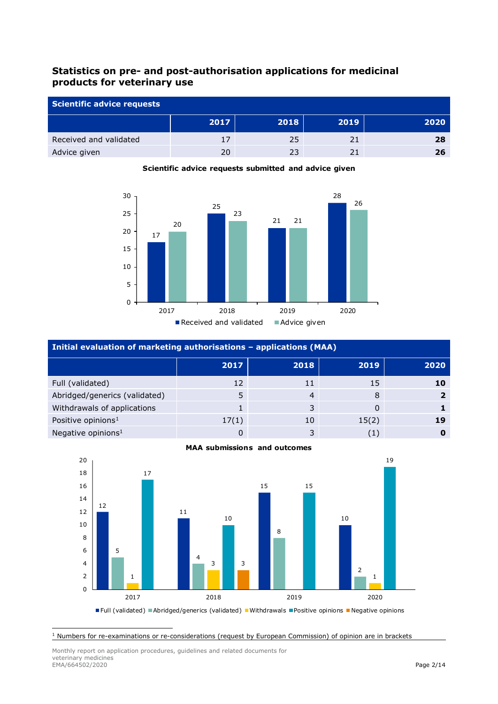## **Statistics on pre- and post-authorisation applications for medicinal products for veterinary use**

| Scientific advice requests |      |      |      |      |  |
|----------------------------|------|------|------|------|--|
|                            | 2017 | 2018 | 2019 | 2020 |  |
| Received and validated     | 17   | 25   |      | 28   |  |
| Advice given               | 20   | 23   |      | 26   |  |



#### **Scientific advice requests submitted and advice given**

| Initial evaluation of marketing authorisations - applications (MAA) |       |      |          |      |  |  |
|---------------------------------------------------------------------|-------|------|----------|------|--|--|
|                                                                     | 2017  | 2018 | 2019     | 2020 |  |  |
| Full (validated)                                                    | 12    | 11   | 15       | 10   |  |  |
| Abridged/generics (validated)                                       |       | 4    | 8        |      |  |  |
| Withdrawals of applications                                         |       | 3    | $\Omega$ |      |  |  |
| Positive opinions <sup>1</sup>                                      | 17(1) | 10   | 15(2)    | 19   |  |  |
| Negative opinions <sup>1</sup>                                      |       |      | (1)      |      |  |  |





**Full (validated) Abridged/generics (validated) Withdrawals Positive opinions Negative opinions** 

<span id="page-1-0"></span>Numbers for re-examinations or re-considerations (request by European Commission) of opinion are in brackets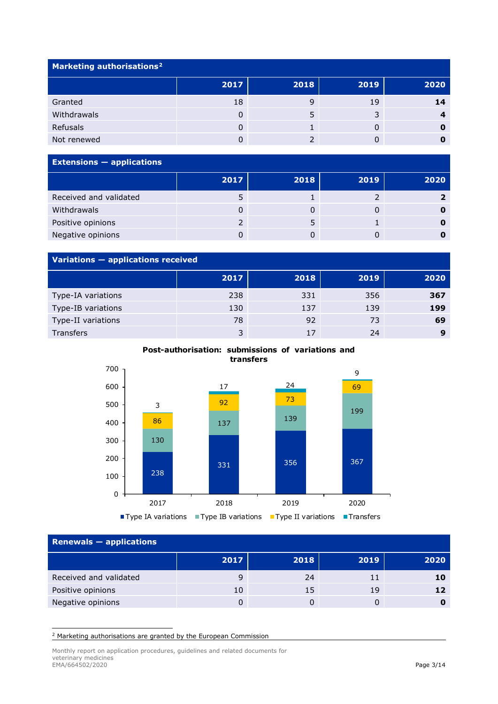| Marketing authorisations <sup>2</sup> |      |      |                |      |  |  |
|---------------------------------------|------|------|----------------|------|--|--|
|                                       | 2017 | 2018 | 2019           | 2020 |  |  |
| Granted                               | 18   |      | 19             | 14   |  |  |
| Withdrawals                           | 0    |      | $\overline{z}$ |      |  |  |
| Refusals                              | 0    |      |                |      |  |  |
| Not renewed                           |      |      |                |      |  |  |

| <b>Extensions - applications</b> |      |      |      |      |  |  |
|----------------------------------|------|------|------|------|--|--|
|                                  | 2017 | 2018 | 2019 | 2020 |  |  |
| Received and validated           |      |      |      |      |  |  |
| Withdrawals                      |      |      |      |      |  |  |
| Positive opinions                |      |      |      |      |  |  |
| Negative opinions                |      |      |      |      |  |  |

### **Variations — applications received**

| . .                |      |      |      |          |
|--------------------|------|------|------|----------|
|                    | 2017 | 2018 | 2019 | 2020     |
| Type-IA variations | 238  | 331  | 356  | 367      |
| Type-IB variations | 130  | 137  | 139  | 199      |
| Type-II variations | 78   | 92   | 73   | 69       |
| Transfers          | 3    | 17   | 24   | $\Omega$ |

**Post-authorisation: submissions of variations and transfers** 



| Renewals $-$ applications |      |      |      |      |  |
|---------------------------|------|------|------|------|--|
|                           | 2017 | 2018 | 2019 | 2020 |  |
| Received and validated    | 9    | 24   | 11   | 10   |  |
| Positive opinions         | 10   | 15   | 19   | 12   |  |
| Negative opinions         |      |      |      |      |  |

<span id="page-2-0"></span><sup>2</sup> Marketing authorisations are granted by the European Commission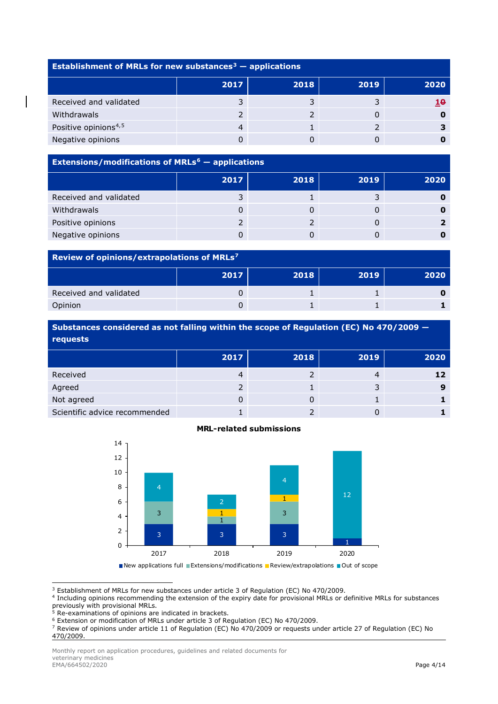| Establishment of MRLs for new substances <sup>3</sup> $-$ applications |      |      |      |      |  |  |
|------------------------------------------------------------------------|------|------|------|------|--|--|
|                                                                        | 2017 | 2018 | 2019 | 2020 |  |  |
| Received and validated                                                 |      |      |      | 10   |  |  |
| <b>Withdrawals</b>                                                     |      |      |      |      |  |  |
| Positive opinions <sup>4,5</sup>                                       |      |      |      |      |  |  |
| Negative opinions                                                      |      |      |      |      |  |  |

## **Extensions/modifications of MRLs[6](#page-3-3) — applications 2017 2018 2019 2020** Received and validated **3** 1 3 **0** Withdrawals 0 0 0 **0** Positive opinions **2** 2 0 **2** Negative opinions 0 0 0 **0**

#### **Review of opinions/extrapolations of MRLs[7](#page-3-4)**

|                        | 2017 | 2018 | 2019 | 2020 |
|------------------------|------|------|------|------|
| Received and validated |      |      |      |      |
| Opinion                |      |      |      |      |

**Substances considered as not falling within the scope of Regulation (EC) No 470/2009 requests**

|                               | 2017 | 2018 | 2019 | 2020 |
|-------------------------------|------|------|------|------|
| Received                      |      |      |      | 12   |
| Agreed                        |      |      |      |      |
| Not agreed                    |      |      |      |      |
| Scientific advice recommended |      |      |      |      |





New applications full Extensions/modifications **Review/extrapolations Pout of scope** 

<span id="page-3-0"></span><sup>3</sup> Establishment of MRLs for new substances under article 3 of Regulation (EC) No 470/2009.

<span id="page-3-1"></span><sup>4</sup> Including opinions recommending the extension of the expiry date for provisional MRLs or definitive MRLs for substances previously with provisional MRLs.

<span id="page-3-2"></span><sup>5</sup> Re-examinations of opinions are indicated in brackets.

<span id="page-3-4"></span><sup>7</sup> Review of opinions under article 11 of Regulation (EC) No 470/2009 or requests under article 27 of Regulation (EC) No 470/2009.

<span id="page-3-3"></span><sup>6</sup> Extension or modification of MRLs under article 3 of Regulation (EC) No 470/2009.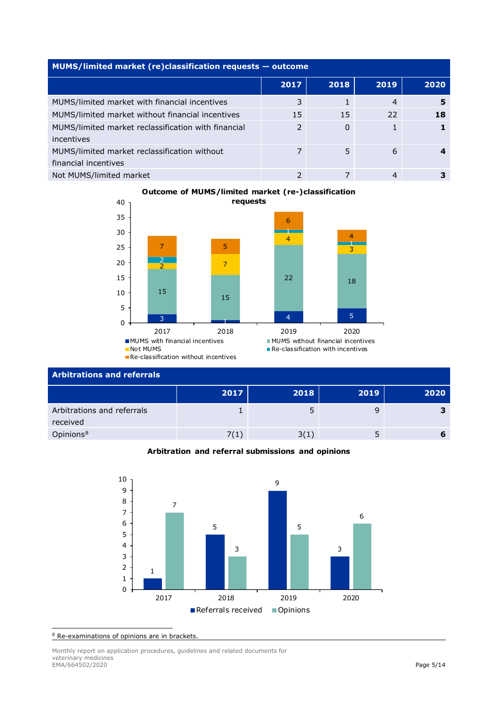| MUMS/limited market (re)classification requests - outcome            |               |      |                |      |  |  |  |
|----------------------------------------------------------------------|---------------|------|----------------|------|--|--|--|
|                                                                      | 2017          | 2018 | 2019           | 2020 |  |  |  |
| MUMS/limited market with financial incentives                        | 3             |      | $\overline{4}$ | 5    |  |  |  |
| MUMS/limited market without financial incentives                     | 15            | 15   | 22             | 18   |  |  |  |
| MUMS/limited market reclassification with financial<br>incentives    | $\mathcal{P}$ | 0    |                |      |  |  |  |
| MUMS/limited market reclassification without<br>financial incentives |               | 5    | 6              |      |  |  |  |
| Not MUMS/limited market                                              |               |      | 4              |      |  |  |  |

#### **Outcome of MUMS/limited market (re-)classification requests**



| <b>Arbitrations and referrals</b>      |      |      |      |      |  |  |
|----------------------------------------|------|------|------|------|--|--|
|                                        | 2017 | 2018 | 2019 | 2020 |  |  |
| Arbitrations and referrals<br>received |      |      |      |      |  |  |
| Opinions <sup>8</sup>                  | 7(1) | 3(1) |      |      |  |  |

#### **Arbitration and referral submissions and opinions**



<span id="page-4-0"></span>Re-examinations of opinions are in brackets.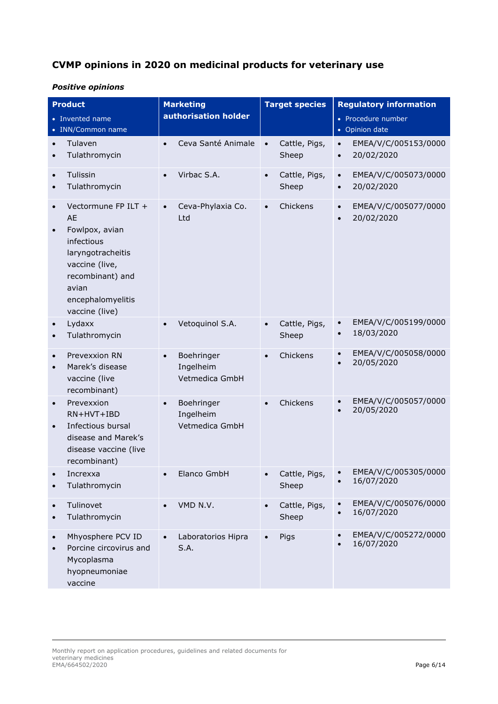## **CVMP opinions in 2020 on medicinal products for veterinary use**

### *Positive opinions*

|                        | <b>Product</b><br>• Invented name<br>• INN/Common name                                                                                                               |           | <b>Marketing</b><br>authorisation holder  |           | <b>Target species</b>  |                        | <b>Regulatory information</b><br>• Procedure number<br>• Opinion date |
|------------------------|----------------------------------------------------------------------------------------------------------------------------------------------------------------------|-----------|-------------------------------------------|-----------|------------------------|------------------------|-----------------------------------------------------------------------|
|                        | Tulaven<br>Tulathromycin                                                                                                                                             | $\bullet$ | Ceva Santé Animale                        | $\bullet$ | Cattle, Pigs,<br>Sheep | $\bullet$<br>$\bullet$ | EMEA/V/C/005153/0000<br>20/02/2020                                    |
| $\bullet$<br>$\bullet$ | Tulissin<br>Tulathromycin                                                                                                                                            |           | Virbac S.A.                               | $\bullet$ | Cattle, Pigs,<br>Sheep | $\bullet$<br>$\bullet$ | EMEA/V/C/005073/0000<br>20/02/2020                                    |
| $\bullet$              | Vectormune FP ILT +<br>AE<br>Fowlpox, avian<br>infectious<br>laryngotracheitis<br>vaccine (live,<br>recombinant) and<br>avian<br>encephalomyelitis<br>vaccine (live) |           | Ceva-Phylaxia Co.<br>Ltd                  | $\bullet$ | Chickens               | $\bullet$<br>$\bullet$ | EMEA/V/C/005077/0000<br>20/02/2020                                    |
|                        | Lydaxx<br>Tulathromycin                                                                                                                                              |           | Vetoquinol S.A.                           | $\bullet$ | Cattle, Pigs,<br>Sheep | $\bullet$<br>$\bullet$ | EMEA/V/C/005199/0000<br>18/03/2020                                    |
| $\bullet$              | Prevexxion RN<br>Marek's disease<br>vaccine (live<br>recombinant)                                                                                                    |           | Boehringer<br>Ingelheim<br>Vetmedica GmbH |           | Chickens               | $\bullet$<br>$\bullet$ | EMEA/V/C/005058/0000<br>20/05/2020                                    |
| $\bullet$<br>$\bullet$ | Prevexxion<br>$RN+HVT+IBD$<br>Infectious bursal<br>disease and Marek's<br>disease vaccine (live<br>recombinant)                                                      | $\bullet$ | Boehringer<br>Ingelheim<br>Vetmedica GmbH | $\bullet$ | Chickens               | $\bullet$              | EMEA/V/C/005057/0000<br>20/05/2020                                    |
|                        | Increxxa<br>Tulathromycin                                                                                                                                            |           | Elanco GmbH                               |           | Cattle, Pigs,<br>Sheep |                        | EMEA/V/C/005305/0000<br>16/07/2020                                    |
| $\bullet$              | Tulinovet<br>Tulathromycin                                                                                                                                           |           | VMD N.V.                                  | $\bullet$ | Cattle, Pigs,<br>Sheep | $\bullet$<br>$\bullet$ | EMEA/V/C/005076/0000<br>16/07/2020                                    |
| $\bullet$              | Mhyosphere PCV ID<br>Porcine circovirus and<br>Mycoplasma<br>hyopneumoniae<br>vaccine                                                                                |           | Laboratorios Hipra<br>S.A.                | $\bullet$ | Pigs                   | $\bullet$              | EMEA/V/C/005272/0000<br>16/07/2020                                    |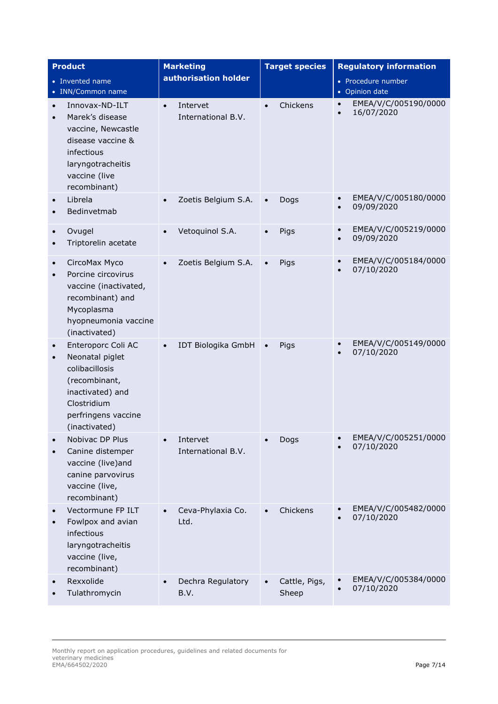|                        | <b>Product</b>                                                                                                                                      | <b>Marketing</b>                            |           | <b>Target species</b>  |                        | <b>Regulatory information</b>        |
|------------------------|-----------------------------------------------------------------------------------------------------------------------------------------------------|---------------------------------------------|-----------|------------------------|------------------------|--------------------------------------|
|                        | • Invented name<br>• INN/Common name                                                                                                                | authorisation holder                        |           |                        |                        | • Procedure number<br>• Opinion date |
| $\bullet$<br>$\bullet$ | Innovax-ND-ILT<br>Marek's disease<br>vaccine, Newcastle<br>disease vaccine &<br>infectious<br>laryngotracheitis<br>vaccine (live<br>recombinant)    | Intervet<br>$\bullet$<br>International B.V. | $\bullet$ | Chickens               | $\bullet$              | EMEA/V/C/005190/0000<br>16/07/2020   |
|                        | Librela<br>Bedinvetmab                                                                                                                              | Zoetis Belgium S.A.                         | $\bullet$ | Dogs                   | $\bullet$<br>$\bullet$ | EMEA/V/C/005180/0000<br>09/09/2020   |
| $\bullet$<br>$\bullet$ | Ovugel<br>Triptorelin acetate                                                                                                                       | Vetoquinol S.A.                             | $\bullet$ | Pigs                   | $\bullet$<br>$\bullet$ | EMEA/V/C/005219/0000<br>09/09/2020   |
| $\bullet$              | CircoMax Myco<br>Porcine circovirus<br>vaccine (inactivated,<br>recombinant) and<br>Mycoplasma<br>hyopneumonia vaccine<br>(inactivated)             | Zoetis Belgium S.A.                         | $\bullet$ | Pigs                   | $\bullet$              | EMEA/V/C/005184/0000<br>07/10/2020   |
| $\bullet$              | Enteroporc Coli AC<br>Neonatal piglet<br>colibacillosis<br>(recombinant,<br>inactivated) and<br>Clostridium<br>perfringens vaccine<br>(inactivated) | IDT Biologika GmbH                          | $\bullet$ | Pigs                   |                        | EMEA/V/C/005149/0000<br>07/10/2020   |
|                        | Nobivac DP Plus<br>Canine distemper<br>vaccine (live)and<br>canine parvovirus<br>vaccine (live,<br>recombinant)                                     | Intervet<br>International B.V.              |           | Dogs                   |                        | EMEA/V/C/005251/0000<br>07/10/2020   |
|                        | Vectormune FP ILT<br>Fowlpox and avian<br>infectious<br>laryngotracheitis<br>vaccine (live,<br>recombinant)                                         | Ceva-Phylaxia Co.<br>Ltd.                   | $\bullet$ | Chickens               | $\bullet$              | EMEA/V/C/005482/0000<br>07/10/2020   |
|                        | Rexxolide<br>Tulathromycin                                                                                                                          | Dechra Regulatory<br>B.V.                   | $\bullet$ | Cattle, Pigs,<br>Sheep | $\bullet$              | EMEA/V/C/005384/0000<br>07/10/2020   |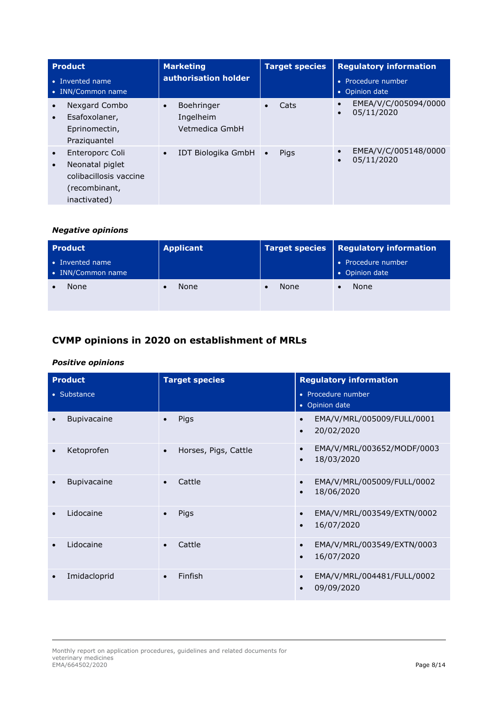| <b>Product</b><br>• Invented name<br>• INN/Common name                                                                  | <b>Marketing</b><br>authorisation holder                      | <b>Target species</b>    | <b>Regulatory information</b><br>Procedure number<br>o<br>Opinion date<br>$\bullet$ |
|-------------------------------------------------------------------------------------------------------------------------|---------------------------------------------------------------|--------------------------|-------------------------------------------------------------------------------------|
| Nexgard Combo<br>Esafoxolaner,<br>$\bullet$<br>Eprinomectin,<br>Praziquantel                                            | <b>Boehringer</b><br>$\bullet$<br>Ingelheim<br>Vetmedica GmbH | Cats                     | EMEA/V/C/005094/0000<br>$\bullet$<br>05/11/2020<br>$\bullet$                        |
| Enteroporc Coli<br>$\bullet$<br>Neonatal piglet<br>$\bullet$<br>colibacillosis vaccine<br>(recombinant,<br>inactivated) | IDT Biologika GmbH<br>$\bullet$                               | <b>Pigs</b><br>$\bullet$ | EMEA/V/C/005148/0000<br>$\bullet$<br>05/11/2020<br>$\bullet$                        |

#### *Negative opinions*

| <b>Product</b>                       | <b>Applicant</b> | <b>Target species</b> | Regulatory information               |
|--------------------------------------|------------------|-----------------------|--------------------------------------|
| • Invented name<br>• INN/Common name |                  |                       | • Procedure number<br>• Opinion date |
| None                                 | None             | None                  | <b>None</b>                          |

## **CVMP opinions in 2020 on establishment of MRLs**

### *Positive opinions*

| <b>Product</b>     | <b>Target species</b>             | <b>Regulatory information</b>                                      |
|--------------------|-----------------------------------|--------------------------------------------------------------------|
| • Substance        |                                   | • Procedure number<br>• Opinion date                               |
| <b>Bupivacaine</b> | Pigs                              | EMA/V/MRL/005009/FULL/0001<br>20/02/2020                           |
| Ketoprofen         | Horses, Pigs, Cattle<br>$\bullet$ | EMA/V/MRL/003652/MODF/0003<br>18/03/2020<br>$\bullet$              |
| Bupivacaine        | Cattle<br>$\bullet$               | EMA/V/MRL/005009/FULL/0002<br>18/06/2020<br>$\bullet$              |
| Lidocaine          | Pigs                              | EMA/V/MRL/003549/EXTN/0002<br>$\bullet$<br>16/07/2020<br>$\bullet$ |
| Lidocaine          | Cattle<br>$\bullet$               | EMA/V/MRL/003549/EXTN/0003<br>16/07/2020                           |
| Imidacloprid       | Finfish<br>$\bullet$              | EMA/V/MRL/004481/FULL/0002<br>$\bullet$<br>09/09/2020              |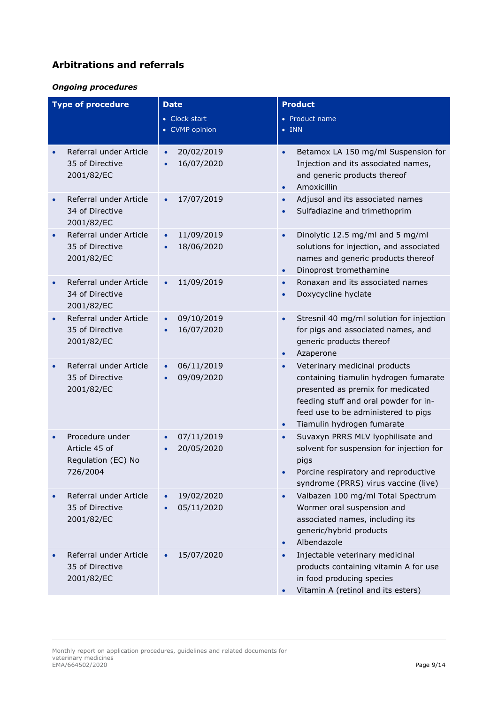## **Arbitrations and referrals**

#### *Ongoing procedures*

| <b>Type of procedure</b> |                                                                    | <b>Date</b><br>• Clock start<br>• CVMP opinion     | <b>Product</b><br>• Product name<br>$\bullet$ INN                                                                                                                                                                                                   |
|--------------------------|--------------------------------------------------------------------|----------------------------------------------------|-----------------------------------------------------------------------------------------------------------------------------------------------------------------------------------------------------------------------------------------------------|
|                          | Referral under Article<br>35 of Directive<br>2001/82/EC            | 20/02/2019<br>$\bullet$<br>16/07/2020<br>$\bullet$ | Betamox LA 150 mg/ml Suspension for<br>$\bullet$<br>Injection and its associated names,<br>and generic products thereof<br>Amoxicillin<br>$\bullet$                                                                                                 |
|                          | Referral under Article<br>34 of Directive<br>2001/82/EC            | 17/07/2019                                         | Adjusol and its associated names<br>$\bullet$<br>Sulfadiazine and trimethoprim                                                                                                                                                                      |
|                          | Referral under Article<br>35 of Directive<br>2001/82/EC            | 11/09/2019<br>$\bullet$<br>18/06/2020              | Dinolytic 12.5 mg/ml and 5 mg/ml<br>$\bullet$<br>solutions for injection, and associated<br>names and generic products thereof<br>Dinoprost tromethamine<br>$\bullet$                                                                               |
|                          | Referral under Article<br>34 of Directive<br>2001/82/EC            | 11/09/2019<br>$\bullet$                            | Ronaxan and its associated names<br>$\bullet$<br>Doxycycline hyclate                                                                                                                                                                                |
| $\bullet$                | Referral under Article<br>35 of Directive<br>2001/82/EC            | 09/10/2019<br>16/07/2020                           | Stresnil 40 mg/ml solution for injection<br>$\bullet$<br>for pigs and associated names, and<br>generic products thereof<br>Azaperone<br>$\bullet$                                                                                                   |
|                          | Referral under Article<br>35 of Directive<br>2001/82/EC            | 06/11/2019<br>$\bullet$<br>09/09/2020<br>$\bullet$ | Veterinary medicinal products<br>$\bullet$<br>containing tiamulin hydrogen fumarate<br>presented as premix for medicated<br>feeding stuff and oral powder for in-<br>feed use to be administered to pigs<br>Tiamulin hydrogen fumarate<br>$\bullet$ |
|                          | Procedure under<br>Article 45 of<br>Regulation (EC) No<br>726/2004 | 07/11/2019<br>20/05/2020                           | Suvaxyn PRRS MLV lyophilisate and<br>$\bullet$<br>solvent for suspension for injection for<br>pigs<br>Porcine respiratory and reproductive<br>syndrome (PRRS) virus vaccine (live)                                                                  |
|                          | Referral under Article<br>35 of Directive<br>2001/82/EC            | 19/02/2020<br>05/11/2020                           | Valbazen 100 mg/ml Total Spectrum<br>Wormer oral suspension and<br>associated names, including its<br>generic/hybrid products<br>Albendazole<br>$\bullet$                                                                                           |
|                          | Referral under Article<br>35 of Directive<br>2001/82/EC            | 15/07/2020                                         | Injectable veterinary medicinal<br>products containing vitamin A for use<br>in food producing species<br>Vitamin A (retinol and its esters)<br>$\bullet$                                                                                            |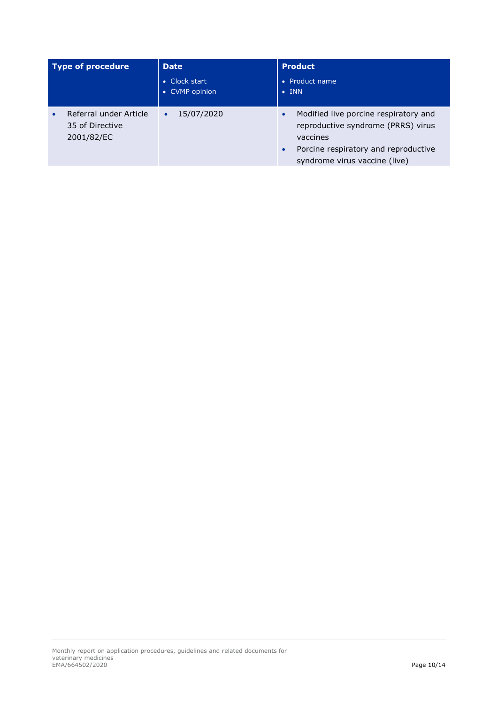| Type of procedure                                       | <b>Date</b>                                           | <b>Product</b>                                                                                                                                                                             |
|---------------------------------------------------------|-------------------------------------------------------|--------------------------------------------------------------------------------------------------------------------------------------------------------------------------------------------|
|                                                         | Clock start<br>$\bullet$<br>CVMP opinion<br>$\bullet$ | • Product name<br>$\bullet$ INN                                                                                                                                                            |
| Referral under Article<br>35 of Directive<br>2001/82/EC | 15/07/2020<br>$\bullet$                               | Modified live porcine respiratory and<br>$\bullet$<br>reproductive syndrome (PRRS) virus<br>vaccines<br>Porcine respiratory and reproductive<br>$\bullet$<br>syndrome virus vaccine (live) |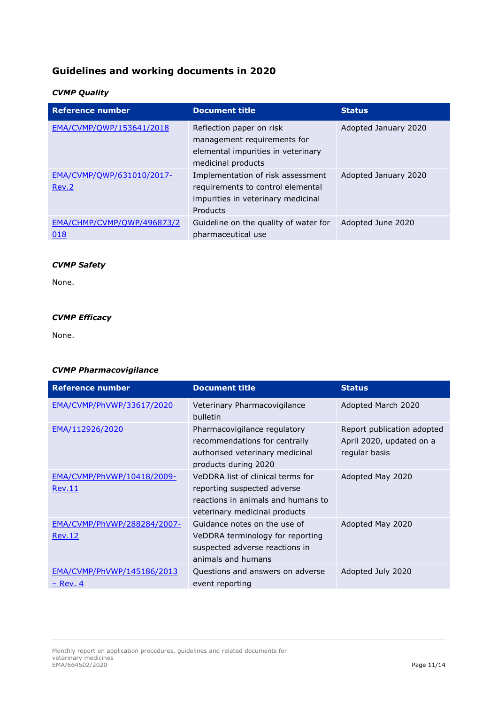## **Guidelines and working documents in 2020**

### *CVMP Quality*

| <b>Reference number</b>            | <b>Document title</b>                                                                                                    | <b>Status</b>        |
|------------------------------------|--------------------------------------------------------------------------------------------------------------------------|----------------------|
| EMA/CVMP/OWP/153641/2018           | Reflection paper on risk<br>management requirements for<br>elemental impurities in veterinary<br>medicinal products      | Adopted January 2020 |
| EMA/CVMP/QWP/631010/2017-<br>Rev.2 | Implementation of risk assessment<br>requirements to control elemental<br>impurities in veterinary medicinal<br>Products | Adopted January 2020 |
| EMA/CHMP/CVMP/QWP/496873/2<br>018  | Guideline on the quality of water for<br>pharmaceutical use                                                              | Adopted June 2020    |

#### *CVMP Safety*

None.

#### *CVMP Efficacy*

None.

#### *CVMP Pharmacovigilance*

| Reference number                             | <b>Document title</b>                                                                                                                   | <b>Status</b>                                                           |
|----------------------------------------------|-----------------------------------------------------------------------------------------------------------------------------------------|-------------------------------------------------------------------------|
| EMA/CVMP/PhVWP/33617/2020                    | Veterinary Pharmacovigilance<br>bulletin                                                                                                | Adopted March 2020                                                      |
| EMA/112926/2020                              | Pharmacovigilance regulatory<br>recommendations for centrally<br>authorised veterinary medicinal<br>products during 2020                | Report publication adopted<br>April 2020, updated on a<br>regular basis |
| EMA/CVMP/PhVWP/10418/2009-<br>Rev.11         | VeDDRA list of clinical terms for<br>reporting suspected adverse<br>reactions in animals and humans to<br>veterinary medicinal products | Adopted May 2020                                                        |
| EMA/CVMP/PhVWP/288284/2007-<br><b>Rev.12</b> | Guidance notes on the use of<br>VeDDRA terminology for reporting<br>suspected adverse reactions in<br>animals and humans                | Adopted May 2020                                                        |
| EMA/CVMP/PhVWP/145186/2013<br>$-$ Rev. 4     | Questions and answers on adverse<br>event reporting                                                                                     | Adopted July 2020                                                       |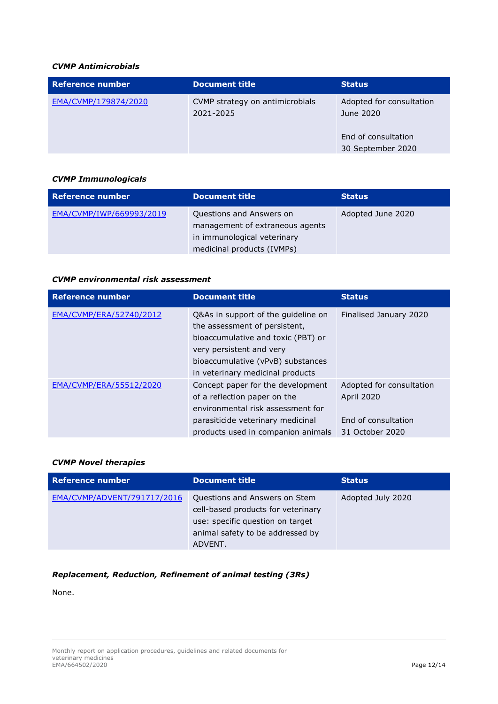#### *CVMP Antimicrobials*

| Reference number     | Document title                               | <b>Status</b>                                                                     |
|----------------------|----------------------------------------------|-----------------------------------------------------------------------------------|
| EMA/CVMP/179874/2020 | CVMP strategy on antimicrobials<br>2021-2025 | Adopted for consultation<br>June 2020<br>End of consultation<br>30 September 2020 |

#### *CVMP Immunologicals*

| <b>Reference number</b>  | <b>Document title</b>                                                                                                    | <b>Status</b>     |
|--------------------------|--------------------------------------------------------------------------------------------------------------------------|-------------------|
| EMA/CVMP/IWP/669993/2019 | Questions and Answers on<br>management of extraneous agents<br>in immunological veterinary<br>medicinal products (IVMPs) | Adopted June 2020 |

### *CVMP environmental risk assessment*

| <b>Reference number</b> | <b>Document title</b>                                                                                                                                                                                           | <b>Status</b>                                                                    |
|-------------------------|-----------------------------------------------------------------------------------------------------------------------------------------------------------------------------------------------------------------|----------------------------------------------------------------------------------|
| EMA/CVMP/ERA/52740/2012 | Q&As in support of the guideline on<br>the assessment of persistent,<br>bioaccumulative and toxic (PBT) or<br>very persistent and very<br>bioaccumulative (vPvB) substances<br>in veterinary medicinal products | Finalised January 2020                                                           |
| EMA/CVMP/ERA/55512/2020 | Concept paper for the development<br>of a reflection paper on the<br>environmental risk assessment for<br>parasiticide veterinary medicinal<br>products used in companion animals                               | Adopted for consultation<br>April 2020<br>End of consultation<br>31 October 2020 |

#### *CVMP Novel therapies*

| <b>Reference number</b>     | <b>Document title</b>                                                                                                                                  | <b>Status</b>     |
|-----------------------------|--------------------------------------------------------------------------------------------------------------------------------------------------------|-------------------|
| EMA/CVMP/ADVENT/791717/2016 | Questions and Answers on Stem<br>cell-based products for veterinary<br>use: specific question on target<br>animal safety to be addressed by<br>ADVENT. | Adopted July 2020 |

#### *Replacement, Reduction, Refinement of animal testing (3Rs)*

None.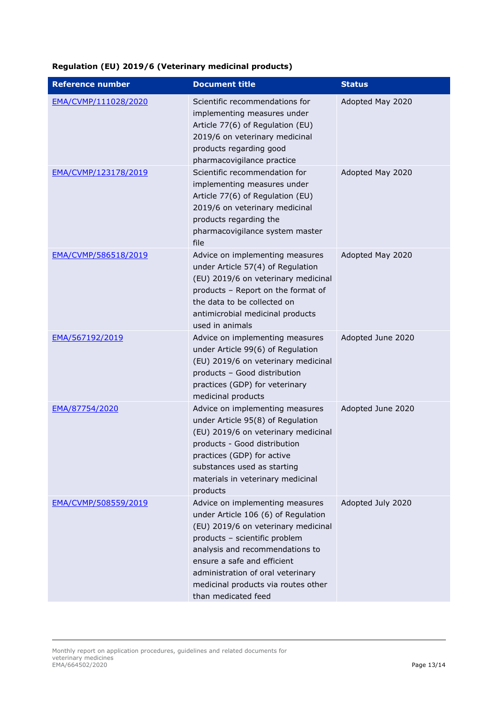## **Regulation (EU) 2019/6 (Veterinary medicinal products)**

| <b>Reference number</b> | <b>Document title</b>                                                                                                                                                                                                                                                                                               | <b>Status</b>     |
|-------------------------|---------------------------------------------------------------------------------------------------------------------------------------------------------------------------------------------------------------------------------------------------------------------------------------------------------------------|-------------------|
| EMA/CVMP/111028/2020    | Scientific recommendations for<br>implementing measures under<br>Article 77(6) of Regulation (EU)<br>2019/6 on veterinary medicinal<br>products regarding good<br>pharmacovigilance practice                                                                                                                        | Adopted May 2020  |
| EMA/CVMP/123178/2019    | Scientific recommendation for<br>implementing measures under<br>Article 77(6) of Regulation (EU)<br>2019/6 on veterinary medicinal<br>products regarding the<br>pharmacovigilance system master<br>file                                                                                                             | Adopted May 2020  |
| EMA/CVMP/586518/2019    | Advice on implementing measures<br>under Article 57(4) of Regulation<br>(EU) 2019/6 on veterinary medicinal<br>products - Report on the format of<br>the data to be collected on<br>antimicrobial medicinal products<br>used in animals                                                                             | Adopted May 2020  |
| EMA/567192/2019         | Advice on implementing measures<br>under Article 99(6) of Regulation<br>(EU) 2019/6 on veterinary medicinal<br>products - Good distribution<br>practices (GDP) for veterinary<br>medicinal products                                                                                                                 | Adopted June 2020 |
| EMA/87754/2020          | Advice on implementing measures<br>under Article 95(8) of Regulation<br>(EU) 2019/6 on veterinary medicinal<br>products - Good distribution<br>practices (GDP) for active<br>substances used as starting<br>materials in veterinary medicinal<br>products                                                           | Adopted June 2020 |
| EMA/CVMP/508559/2019    | Advice on implementing measures<br>under Article 106 (6) of Regulation<br>(EU) 2019/6 on veterinary medicinal<br>products - scientific problem<br>analysis and recommendations to<br>ensure a safe and efficient<br>administration of oral veterinary<br>medicinal products via routes other<br>than medicated feed | Adopted July 2020 |